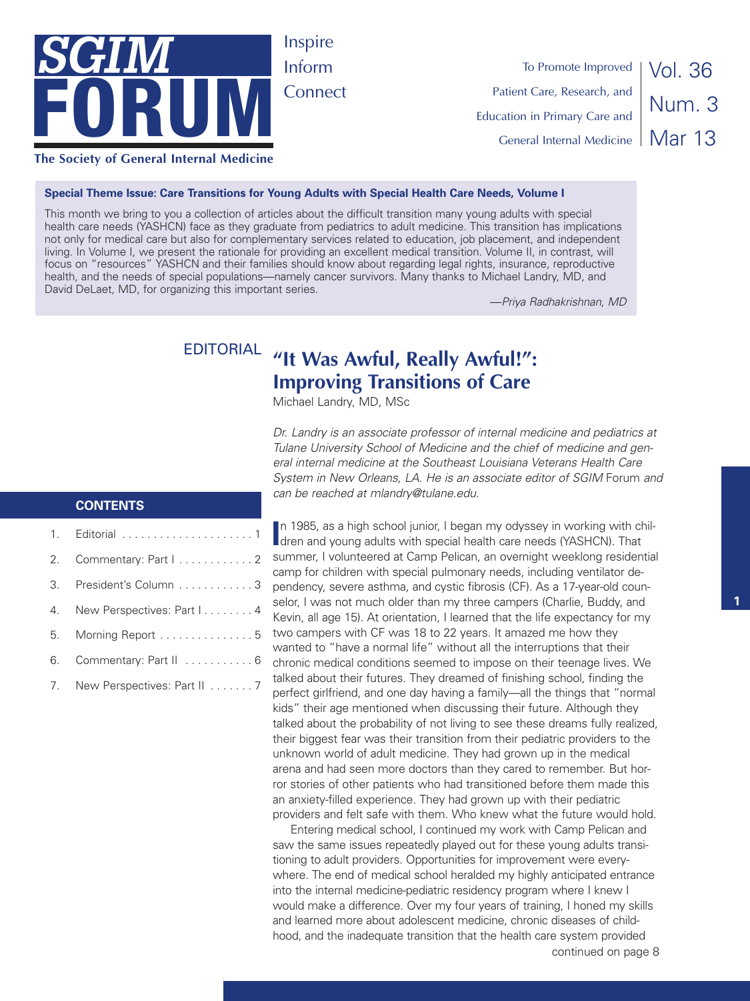

To Promote Improved Patient Care, Research, and Education in Primary Care and General Internal Medicine

Vol. 36 Num. 3 Mar 13

#### **Special Theme Issue: Care Transitions for Young Adults with Special Health Care Needs, Volume I**

This month we bring to you a collection of articles about the difficult transition many young adults with special health care needs (YASHCN) face as they graduate from pediatrics to adult medicine. This transition has implications not only for medical care but also for complementary services related to education, job placement, and independent living. In Volume I, we present the rationale for providing an excellent medical transition. Volume II, in contrast, will focus on "resources" YASHCN and their families should know about regarding legal rights, insurance, reproductive health, and the needs of special populations—namely cancer survivors. Many thanks to Michael Landry, MD, and David DeLaet, MD, for organizing this important series.

—*Priya Radhakrishnan, MD*

# EDITORIAL **"It Was Awful, Really Awful!": Improving Transitions of Care**

Michael Landry, MD, MSc

*Dr. Landry is an associate professor of internal medicine and pediatrics at Tulane University School of Medicine and the chief of medicine and general internal medicine at the Southeast Louisiana Veterans Health Care System in New Orleans, LA. He is an associate editor of SGIM* Forum *and can be reached at mlandry@tulane.edu.*

#### **CONTENTS**

|    | 2. Commentary: Part I 2        |
|----|--------------------------------|
|    | 3. President's Column 3        |
|    | 4. New Perspectives: Part I. 4 |
|    | 5. Morning Report  5           |
| 6. | Commentary: Part II 6          |
|    | 7. New Perspectives: Part II 7 |
|    |                                |

**I**n 1985, as a high school junior, I began my odyssey in working with chiller and young adults with special health care needs (YASHCN). That dren and young adults with special health care needs (YASHCN). That summer, I volunteered at Camp Pelican, an overnight weeklong residential camp for children with special pulmonary needs, including ventilator dependency, severe asthma, and cystic fibrosis (CF). As a 17-year-old counselor, I was not much older than my three campers (Charlie, Buddy, and Kevin, all age 15). At orientation, I learned that the life expectancy for my two campers with CF was 18 to 22 years. It amazed me how they wanted to "have a normal life" without all the interruptions that their chronic medical conditions seemed to impose on their teenage lives. We talked about their futures. They dreamed of finishing school, finding the perfect girlfriend, and one day having a family—all the things that "normal kids" their age mentioned when discussing their future. Although they talked about the probability of not living to see these dreams fully realized, their biggest fear was their transition from their pediatric providers to the unknown world of adult medicine. They had grown up in the medical arena and had seen more doctors than they cared to remember. But horror stories of other patients who had transitioned before them made this an anxiety-filled experience. They had grown up with their pediatric providers and felt safe with them. Who knew what the future would hold.

continued on page 8 Entering medical school, I continued my work with Camp Pelican and saw the same issues repeatedly played out for these young adults transitioning to adult providers. Opportunities for improvement were everywhere. The end of medical school heralded my highly anticipated entrance into the internal medicine-pediatric residency program where I knew I would make a difference. Over my four years of training, I honed my skills and learned more about adolescent medicine, chronic diseases of childhood, and the inadequate transition that the health care system provided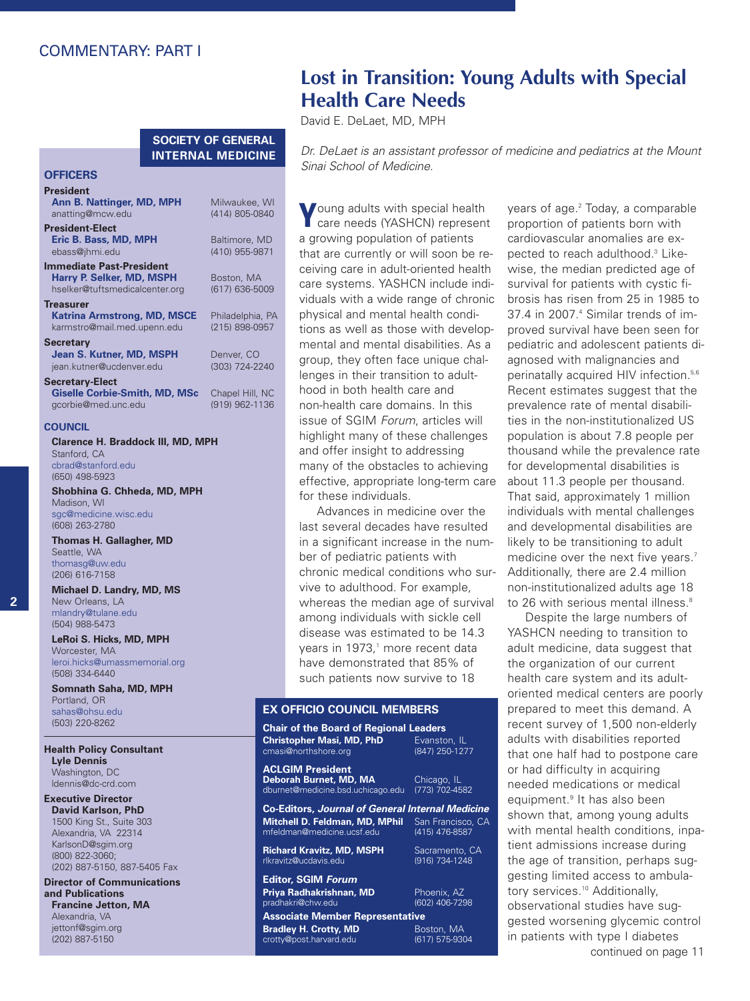# COMMENTARY: PART I

#### **SOCIETY OF GENERAL INTERNAL MEDICINE**

#### **OFFICERS President Ann B. Nattinger, MD, MPH** Milwaukee, WI anatting@mcw.edu **President-Elect Eric B. Bass, MD, MPH** Baltimore, MD<br>ebass@ihmi edu (410) 955-9871 ebass@jhmi.edu **Immediate Past-President Harry P. Selker, MD, MSPH** Boston, MA<br>hselker@tuftsmedicalcenter.org (617) 636-5009 hselker@tuftsmedicalcenter.org **Treasurer Katrina Armstrong, MD, MSCE** Philadelphia, PA karmstro@mail.med.upenn.edu **Secretary Jean S. Kutner, MD, MSPH** Denver, CO jean.kutner@ucdenver.edu (303) 724-2240 **Secretary-Elect Giselle Corbie-Smith, MD, MSc** Chapel Hill, NC

#### **COUNCIL**

gcorbie@med.unc.edu

**Clarence H. Braddock III, MD, MPH** Stanford, CA cbrad@stanford.edu (650) 498-5923

**Shobhina G. Chheda, MD, MPH** Madison, WI sgc@medicine.wisc.edu (608) 263-2780

**Thomas H. Gallagher, MD** Seattle, WA thomasg@uw.edu (206) 616-7158

**Michael D. Landry, MD, MS** New Orleans, LA mlandry@tulane.edu (504) 988-5473

**LeRoi S. Hicks, MD, MPH** Worcester, MA leroi.hicks@umassmemorial.org (508) 334-6440

**Somnath Saha, MD, MPH** Portland, OR sahas@ohsu.edu (503) 220-8262

#### **Health Policy Consultant Lyle Dennis** Washington, DC

ldennis@dc-crd.com **Executive Director David Karlson, PhD** 1500 King St., Suite 303 Alexandria, VA 22314 KarlsonD@sgim.org (800) 822-3060;

(202) 887-5150, 887-5405 Fax **Director of Communications**

**and Publications Francine Jetton, MA** Alexandria, VA jettonf@sgim.org (202) 887-5150

# **Lost in Transition: Young Adults with Special Health Care Needs**

David E. DeLaet, MD, MPH

*Dr. DeLaet is an assistant professor of medicine and pediatrics at the Mount Sinai School of Medicine.*

**Y**oung adults with special health care needs (YASHCN) represent a growing population of patients that are currently or will soon be receiving care in adult-oriented health care systems. YASHCN include individuals with a wide range of chronic physical and mental health conditions as well as those with developmental and mental disabilities. As a group, they often face unique challenges in their transition to adulthood in both health care and non-health care domains. In this issue of SGIM *Forum*, articles will highlight many of these challenges and offer insight to addressing many of the obstacles to achieving effective, appropriate long-term care for these individuals.

Advances in medicine over the last several decades have resulted in a significant increase in the number of pediatric patients with chronic medical conditions who survive to adulthood. For example, whereas the median age of survival among individuals with sickle cell disease was estimated to be 14.3 years in 1973, <sup>1</sup> more recent data have demonstrated that 85% of such patients now survive to 18

#### **EX OFFICIO COUNCIL MEMBERS**

#### **Chair of the Board of Regional Leaders Christopher Masi, MD, PhD** Evanston, IL cmasi@northshore.org

**ACLGIM President Deborah Burnet, MD, MA** Chicago, IL<br>dburnet@medicine.bsd.uchicago.edu (773) 702-4582 dburnet@medicine.bsd.uchicago.edu (773) 702-4582

rlkravitz@ucdavis.edu **Editor, SGIM** *Forum*

pradhakri@chw.edu

crotty@post.harvard.edu

**Co-Editors,** *Journal of General Internal Medicine* **Mitchell D. Feldman, MD, MPhil** San Francisco, CA mfeldman@medicine.ucsf.edu

**Richard Kravitz, MD, MSPH** Sacramento, CA<br>
rlkravitz@ucdavis.edu (916) 734-1248

**Priya Radhakrishnan, MD** Phoenix, AZ<br>pradhakri@chw.edu (602) 406-7298

**Associate Member Representative Bradley H. Crotty, MD** Boston, MA<br> **Crotty@post.harvard.edu** (617) 575-9304

years of age. <sup>2</sup> Today, a comparable proportion of patients born with cardiovascular anomalies are expected to reach adulthood. <sup>3</sup> Likewise, the median predicted age of survival for patients with cystic fibrosis has risen from 25 in 1985 to 37.4 in 2007. <sup>4</sup> Similar trends of improved survival have been seen for pediatric and adolescent patients diagnosed with malignancies and perinatally acquired HIV infection. 5,6 Recent estimates suggest that the prevalence rate of mental disabilities in the non-institutionalized US population is about 7.8 people per thousand while the prevalence rate for developmental disabilities is about 11.3 people per thousand. That said, approximately 1 million individuals with mental challenges and developmental disabilities are likely to be transitioning to adult medicine over the next five years. 7 Additionally, there are 2.4 million non-institutionalized adults age 18 to 26 with serious mental illness. 8

Despite the large numbers of YASHCN needing to transition to adult medicine, data suggest that the organization of our current health care system and its adultoriented medical centers are poorly prepared to meet this demand. A recent survey of 1,500 non-elderly adults with disabilities reported that one half had to postpone care or had difficulty in acquiring needed medications or medical equipment. <sup>9</sup> It has also been shown that, among young adults with mental health conditions, inpatient admissions increase during the age of transition, perhaps suggesting limited access to ambulatory services. <sup>10</sup> Additionally, observational studies have suggested worsening glycemic control in patients with type I diabetes continued on page 11

# **2**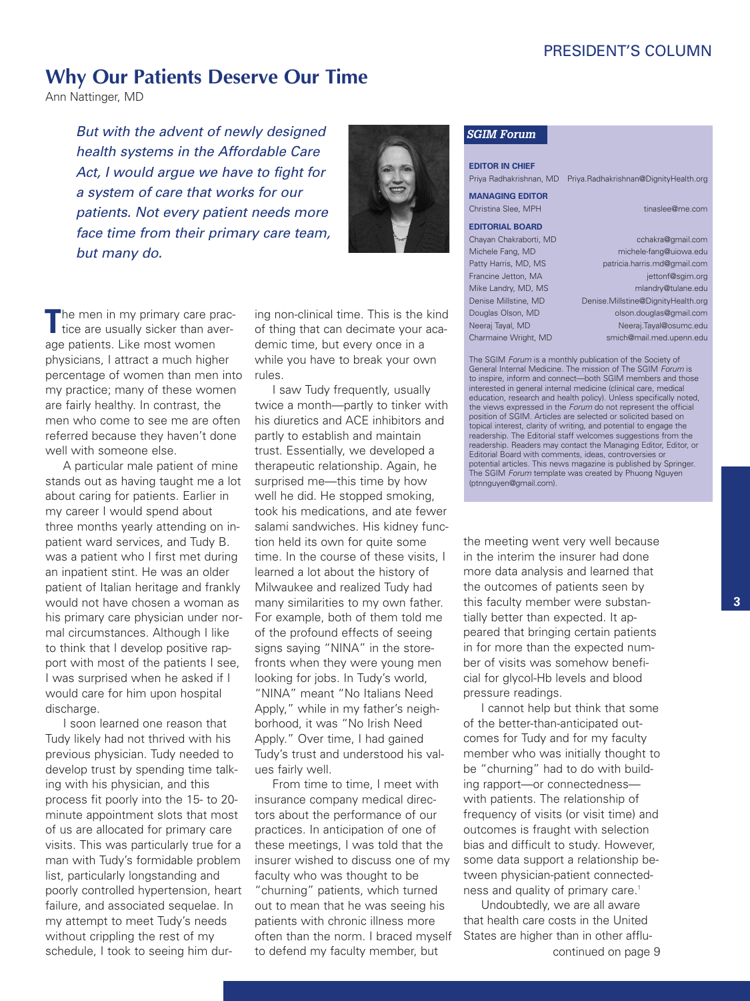# PRESIDENT'S COLUMN

# **Why Our Patients Deserve Our Time**

Ann Nattinger, MD

*But with the advent of newly designed health systems in the Affordable Care Act, I would argue we have to fight for a system of care that works for our patients. Not every patient needs more face time from their primary care team, but many do.*



The men in my primary care prac-<br>tice are usually sicker than average patients. Like most women physicians, I attract a much higher percentage of women than men into my practice; many of these women are fairly healthy. In contrast, the men who come to see me are often referred because they haven't done well with someone else.

A particular male patient of mine stands out as having taught me a lot about caring for patients. Earlier in my career I would spend about three months yearly attending on inpatient ward services, and Tudy B. was a patient who I first met during an inpatient stint. He was an older patient of Italian heritage and frankly would not have chosen a woman as his primary care physician under normal circumstances. Although I like to think that I develop positive rapport with most of the patients I see, I was surprised when he asked if I would care for him upon hospital discharge.

I soon learned one reason that Tudy likely had not thrived with his previous physician. Tudy needed to develop trust by spending time talking with his physician, and this process fit poorly into the 15- to 20 minute appointment slots that most of us are allocated for primary care visits. This was particularly true for a man with Tudy's formidable problem list, particularly longstanding and poorly controlled hypertension, heart failure, and associated sequelae. In my attempt to meet Tudy's needs without crippling the rest of my schedule, I took to seeing him dur-

ing non-clinical time. This is the kind of thing that can decimate your academic time, but every once in a while you have to break your own rules.

I saw Tudy frequently, usually twice a month—partly to tinker with his diuretics and ACE inhibitors and partly to establish and maintain trust. Essentially, we developed a therapeutic relationship. Again, he surprised me—this time by how well he did. He stopped smoking, took his medications, and ate fewer salami sandwiches. His kidney function held its own for quite some time. In the course of these visits, I learned a lot about the history of Milwaukee and realized Tudy had many similarities to my own father. For example, both of them told me of the profound effects of seeing signs saying "NINA" in the storefronts when they were young men looking for jobs. In Tudy's world, "NINA" meant "No Italians Need Apply," while in my father's neighborhood, it was "No Irish Need Apply." Over time, I had gained Tudy's trust and understood his values fairly well.

From time to time, I meet with insurance company medical directors about the performance of our practices. In anticipation of one of these meetings, I was told that the insurer wished to discuss one of my faculty who was thought to be "churning" patients, which turned out to mean that he was seeing his patients with chronic illness more often than the norm. I braced myself to defend my faculty member, but

#### *SGIM Forum*

**EDITOR IN CHIEF** Priya Radhakrishnan, MD Priya.Radhakrishnan@DignityHealth.org

# **MANAGING EDITOR**

Christina Slee, MPH tinaslee@me.com **EDITORIAL BOARD**

Chayan Chakraborti, MD cchakra@gmail.com Michele Fang, MD michele-fang@uiowa.edu Patty Harris, MD, MS patricia.harris.md@gmail.com Francine Jetton, MA jettonf@sqim.org Mike Landry, MD, MS mlandry@tulane.edu Denise Millstine, MD Denise.Millstine@DignityHealth.org Douglas Olson, MD olson.douglas@gmail.com Neeraj Tayal, MD Neeraj.Tayal@osumc.edu Charmaine Wright, MD smich@mail.med.upenn.edu

The SGIM *Forum* is a monthly publication of the Society of General Internal Medicine. The mission of The SGIM *Forum* is to inspire, inform and connect—both SGIM members and those interested in general internal medicine (clinical care, medical education, research and health policy). Unless specifically noted, the views expressed in the *Forum* do not represent the official position of SGIM. Articles are selected or solicited based on topical interest, clarity of writing, and potential to engage the readership. The Editorial staff welcomes suggestions from the readership. Readers may contact the Managing Editor, Editor, or Editorial Board with comments, ideas, controversies or potential articles. This news magazine is published by Springer. The SGIM *Forum* template was created by Phuong Nguyen (ptnnguyen@gmail.com).

the meeting went very well because in the interim the insurer had done more data analysis and learned that the outcomes of patients seen by this faculty member were substantially better than expected. It appeared that bringing certain patients in for more than the expected number of visits was somehow beneficial for glycol-Hb levels and blood pressure readings.

I cannot help but think that some of the better-than-anticipated outcomes for Tudy and for my faculty member who was initially thought to be "churning" had to do with building rapport—or connectedness with patients. The relationship of frequency of visits (or visit time) and outcomes is fraught with selection bias and difficult to study. However, some data support a relationship between physician-patient connectedness and quality of primary care. 1

continued on page 9 Undoubtedly, we are all aware that health care costs in the United States are higher than in other afflu-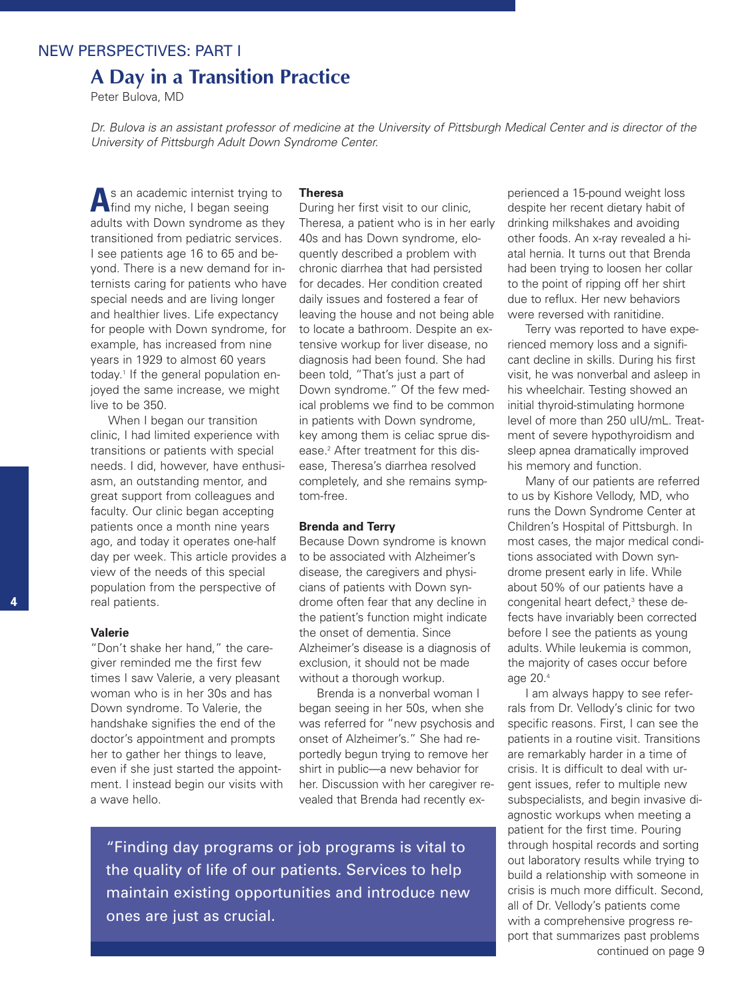### NEW PERSPECTIVES: PART I

# **A Day in a Transition Practice**

Peter Bulova, MD

Dr. Bulova is an assistant professor of medicine at the University of Pittsburgh Medical Center and is director of the *University of Pittsburgh Adult Down Syndrome Center.*

**A**<sup>s</sup> an academic internist trying to find my niche, I began seeing adults with Down syndrome as they transitioned from pediatric services. I see patients age 16 to 65 and beyond. There is a new demand for internists caring for patients who have special needs and are living longer and healthier lives. Life expectancy for people with Down syndrome, for example, has increased from nine years in 1929 to almost 60 years today. <sup>1</sup> If the general population enjoyed the same increase, we might live to be 350.

When I began our transition clinic, I had limited experience with transitions or patients with special needs. I did, however, have enthusiasm, an outstanding mentor, and great support from colleagues and faculty. Our clinic began accepting patients once a month nine years ago, and today it operates one-half day per week. This article provides a view of the needs of this special population from the perspective of real patients.

#### **Valerie**

"Don't shake her hand," the caregiver reminded me the first few times I saw Valerie, a very pleasant woman who is in her 30s and has Down syndrome. To Valerie, the handshake signifies the end of the doctor's appointment and prompts her to gather her things to leave, even if she just started the appointment. I instead begin our visits with a wave hello.

#### **Theresa**

During her first visit to our clinic, Theresa, a patient who is in her early 40s and has Down syndrome, eloquently described a problem with chronic diarrhea that had persisted for decades. Her condition created daily issues and fostered a fear of leaving the house and not being able to locate a bathroom. Despite an extensive workup for liver disease, no diagnosis had been found. She had been told, "That's just a part of Down syndrome." Of the few medical problems we find to be common in patients with Down syndrome, key among them is celiac sprue disease. <sup>2</sup> After treatment for this disease, Theresa's diarrhea resolved completely, and she remains symptom-free.

#### **Brenda and Terry**

Because Down syndrome is known to be associated with Alzheimer's disease, the caregivers and physicians of patients with Down syndrome often fear that any decline in the patient's function might indicate the onset of dementia. Since Alzheimer's disease is a diagnosis of exclusion, it should not be made without a thorough workup.

Brenda is a nonverbal woman I began seeing in her 50s, when she was referred for "new psychosis and onset of Alzheimer's." She had reportedly begun trying to remove her shirt in public—a new behavior for her. Discussion with her caregiver revealed that Brenda had recently ex-

"Finding day programs or job programs is vital to the quality of life of our patients. Services to help maintain existing opportunities and introduce new ones are just as crucial.

perienced a 15-pound weight loss despite her recent dietary habit of drinking milkshakes and avoiding other foods. An x-ray revealed a hiatal hernia. It turns out that Brenda had been trying to loosen her collar to the point of ripping off her shirt due to reflux. Her new behaviors were reversed with ranitidine.

Terry was reported to have experienced memory loss and a significant decline in skills. During his first visit, he was nonverbal and asleep in his wheelchair. Testing showed an initial thyroid-stimulating hormone level of more than 250 uIU/mL. Treatment of severe hypothyroidism and sleep apnea dramatically improved his memory and function.

Many of our patients are referred to us by Kishore Vellody, MD, who runs the Down Syndrome Center at Children's Hospital of Pittsburgh. In most cases, the major medical conditions associated with Down syndrome present early in life. While about 50% of our patients have a congenital heart defect, <sup>3</sup> these defects have invariably been corrected before I see the patients as young adults. While leukemia is common, the majority of cases occur before age 20. 4

I am always happy to see referrals from Dr. Vellody's clinic for two specific reasons. First, I can see the patients in a routine visit. Transitions are remarkably harder in a time of crisis. It is difficult to deal with urgent issues, refer to multiple new subspecialists, and begin invasive diagnostic workups when meeting a patient for the first time. Pouring through hospital records and sorting out laboratory results while trying to build a relationship with someone in crisis is much more difficult. Second, all of Dr. Vellody's patients come with a comprehensive progress report that summarizes past problems continued on page 9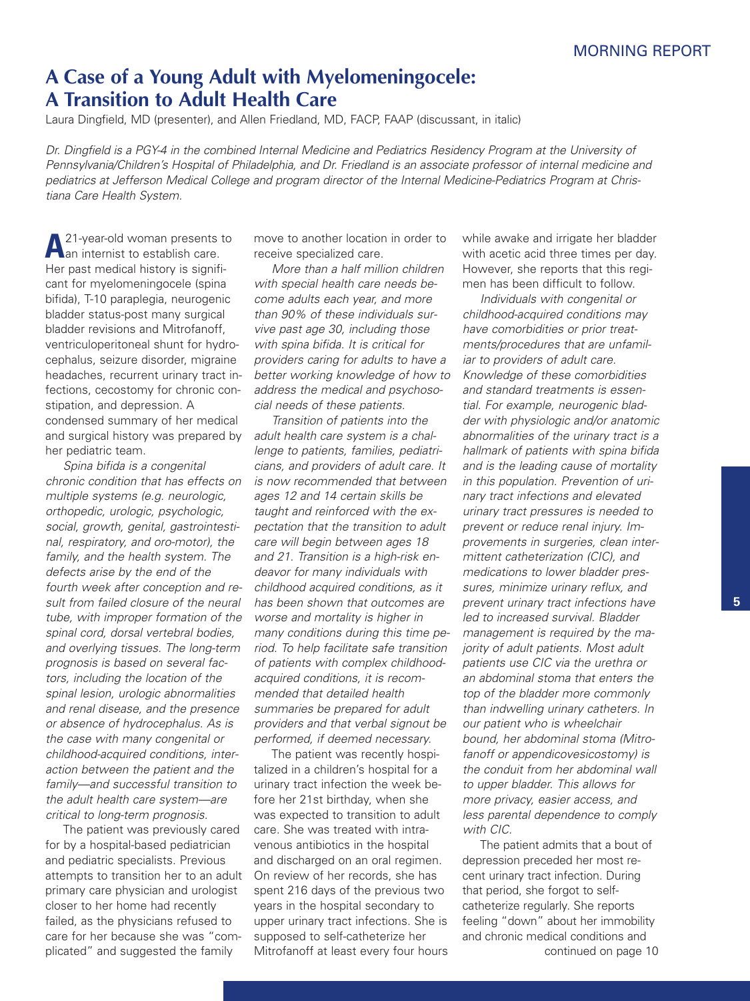# **A Case of a Young Adult with Myelomeningocele: A Transition to Adult Health Care**

Laura Dingfield, MD (presenter), and Allen Friedland, MD, FACP, FAAP (discussant, in italic)

Dr. Dingfield is a PGY-4 in the combined Internal Medicine and Pediatrics Residency Program at the University of *Pennsylvania/Children's Hospital of Philadelphia, and Dr. Friedland is an associate professor of internal medicine and pediatrics at Jefferson Medical College and program director of the Internal Medicine-Pediatrics Program at Christiana Care Health System.*

**A**<sup>21-year-old woman presents to<br>**A** an internist to establish care.</sup> Her past medical history is significant for myelomeningocele (spina bifida), T-10 paraplegia, neurogenic bladder status-post many surgical bladder revisions and Mitrofanoff, ventriculoperitoneal shunt for hydrocephalus, seizure disorder, migraine headaches, recurrent urinary tract infections, cecostomy for chronic constipation, and depression. A condensed summary of her medical and surgical history was prepared by her pediatric team.

*Spina bifida is a congenital chronic condition that has effects on multiple systems (e.g. neurologic, orthopedic, urologic, psychologic, social, growth, genital, gastrointestinal, respiratory, and oro-motor), the family, and the health system. The defects arise by the end of the fourth week after conception and result from failed closure of the neural tube, with improper formation of the spinal cord, dorsal vertebral bodies, and overlying tissues. The long-term prognosis is based on several factors, including the location of the spinal lesion, urologic abnormalities and renal disease, and the presence or absence of hydrocephalus. As is the case with many congenital or childhood-acquired conditions, interaction between the patient and the family—and successful transition to the adult health care system—are critical to long-term prognosis.*

The patient was previously cared for by a hospital-based pediatrician and pediatric specialists. Previous attempts to transition her to an adult primary care physician and urologist closer to her home had recently failed, as the physicians refused to care for her because she was "complicated" and suggested the family

move to another location in order to receive specialized care.

*More than a half million children with special health care needs become adults each year, and more than 90% of these individuals survive past age 30, including those with spina bifida. It is critical for providers caring for adults to have a better working knowledge of how to address the medical and psychosocial needs of these patients.*

*Transition of patients into the adult health care system is a challenge to patients, families, pediatricians, and providers of adult care. It is now recommended that between ages 12 and 14 certain skills be taught and reinforced with the expectation that the transition to adult care will begin between ages 18 and 21. Transition is a high-risk endeavor for many individuals with childhood acquired conditions, as it has been shown that outcomes are worse and mortality is higher in many conditions during this time period. To help facilitate safe transition of patients with complex childhoodacquired conditions, it is recommended that detailed health summaries be prepared for adult providers and that verbal signout be performed, if deemed necessary.*

The patient was recently hospitalized in a children's hospital for a urinary tract infection the week before her 21st birthday, when she was expected to transition to adult care. She was treated with intravenous antibiotics in the hospital and discharged on an oral regimen. On review of her records, she has spent 216 days of the previous two years in the hospital secondary to upper urinary tract infections. She is supposed to self-catheterize her Mitrofanoff at least every four hours while awake and irrigate her bladder with acetic acid three times per day. However, she reports that this regimen has been difficult to follow.

*Individuals with congenital or childhood-acquired conditions may have comorbidities or prior treatments/procedures that are unfamiliar to providers of adult care. Knowledge of these comorbidities and standard treatments is essential. For example, neurogenic bladder with physiologic and/or anatomic abnormalities of the urinary tract is a hallmark of patients with spina bifida and is the leading cause of mortality in this population. Prevention of urinary tract infections and elevated urinary tract pressures is needed to prevent or reduce renal injury. Improvements in surgeries, clean intermittent catheterization (CIC), and medications to lower bladder pressures, minimize urinary reflux, and prevent urinary tract infections have led to increased survival. Bladder management is required by the majority of adult patients. Most adult patients use CIC via the urethra or an abdominal stoma that enters the top of the bladder more commonly than indwelling urinary catheters. In our patient who is wheelchair bound, her abdominal stoma (Mitrofanoff or appendicovesicostomy) is the conduit from her abdominal wall to upper bladder. This allows for more privacy, easier access, and less parental dependence to comply with CIC.*

The patient admits that a bout of depression preceded her most recent urinary tract infection. During that period, she forgot to selfcatheterize regularly. She reports feeling "down" about her immobility and chronic medical conditions and continued on page 10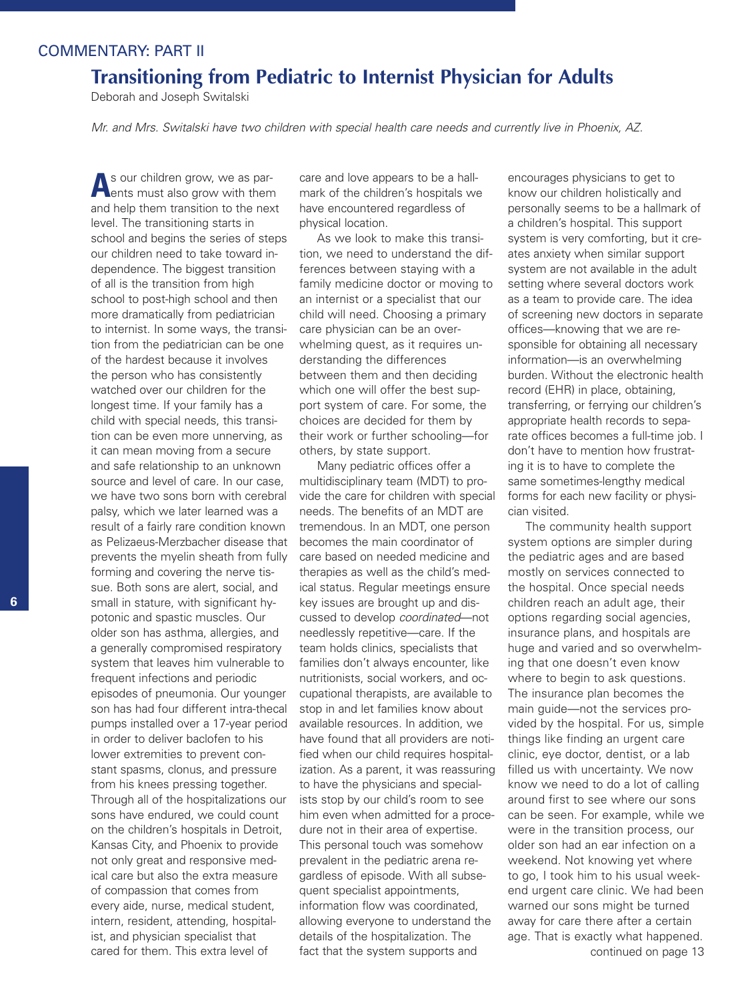# COMMENTARY: PART II

# **Transitioning from Pediatric to Internist Physician for Adults**

Deborah and Joseph Switalski

Mr. and Mrs. Switalski have two children with special health care needs and currently live in Phoenix, AZ.

A<sub>s</sub> our children grow, we as par-<br>**A**ents must also grow with them and help them transition to the next level. The transitioning starts in school and begins the series of steps our children need to take toward independence. The biggest transition of all is the transition from high school to post-high school and then more dramatically from pediatrician to internist. In some ways, the transition from the pediatrician can be one of the hardest because it involves the person who has consistently watched over our children for the longest time. If your family has a child with special needs, this transition can be even more unnerving, as it can mean moving from a secure and safe relationship to an unknown source and level of care. In our case, we have two sons born with cerebral palsy, which we later learned was a result of a fairly rare condition known as Pelizaeus-Merzbacher disease that prevents the myelin sheath from fully forming and covering the nerve tissue. Both sons are alert, social, and small in stature, with significant hypotonic and spastic muscles. Our older son has asthma, allergies, and a generally compromised respiratory system that leaves him vulnerable to frequent infections and periodic episodes of pneumonia. Our younger son has had four different intra-thecal pumps installed over a 17-year period in order to deliver baclofen to his lower extremities to prevent constant spasms, clonus, and pressure from his knees pressing together. Through all of the hospitalizations our sons have endured, we could count on the children's hospitals in Detroit, Kansas City, and Phoenix to provide not only great and responsive medical care but also the extra measure of compassion that comes from every aide, nurse, medical student, intern, resident, attending, hospitalist, and physician specialist that cared for them. This extra level of

care and love appears to be a hallmark of the children's hospitals we have encountered regardless of physical location.

As we look to make this transition, we need to understand the differences between staying with a family medicine doctor or moving to an internist or a specialist that our child will need. Choosing a primary care physician can be an overwhelming quest, as it requires understanding the differences between them and then deciding which one will offer the best support system of care. For some, the choices are decided for them by their work or further schooling—for others, by state support.

Many pediatric offices offer a multidisciplinary team (MDT) to provide the care for children with special needs. The benefits of an MDT are tremendous. In an MDT, one person becomes the main coordinator of care based on needed medicine and therapies as well as the child's medical status. Regular meetings ensure key issues are brought up and discussed to develop *coordinated*—not needlessly repetitive—care. If the team holds clinics, specialists that families don't always encounter, like nutritionists, social workers, and occupational therapists, are available to stop in and let families know about available resources. In addition, we have found that all providers are notified when our child requires hospitalization. As a parent, it was reassuring to have the physicians and specialists stop by our child's room to see him even when admitted for a procedure not in their area of expertise. This personal touch was somehow prevalent in the pediatric arena regardless of episode. With all subsequent specialist appointments, information flow was coordinated, allowing everyone to understand the details of the hospitalization. The fact that the system supports and

encourages physicians to get to know our children holistically and personally seems to be a hallmark of a children's hospital. This support system is very comforting, but it creates anxiety when similar support system are not available in the adult setting where several doctors work as a team to provide care. The idea of screening new doctors in separate offices—knowing that we are responsible for obtaining all necessary information—is an overwhelming burden. Without the electronic health record (EHR) in place, obtaining, transferring, or ferrying our children's appropriate health records to separate offices becomes a full-time job. I don't have to mention how frustrating it is to have to complete the same sometimes-lengthy medical forms for each new facility or physician visited.

The community health support system options are simpler during the pediatric ages and are based mostly on services connected to the hospital. Once special needs children reach an adult age, their options regarding social agencies, insurance plans, and hospitals are huge and varied and so overwhelming that one doesn't even know where to begin to ask questions. The insurance plan becomes the main guide—not the services provided by the hospital. For us, simple things like finding an urgent care clinic, eye doctor, dentist, or a lab filled us with uncertainty. We now know we need to do a lot of calling around first to see where our sons can be seen. For example, while we were in the transition process, our older son had an ear infection on a weekend. Not knowing yet where to go, I took him to his usual weekend urgent care clinic. We had been warned our sons might be turned away for care there after a certain age. That is exactly what happened. continued on page 13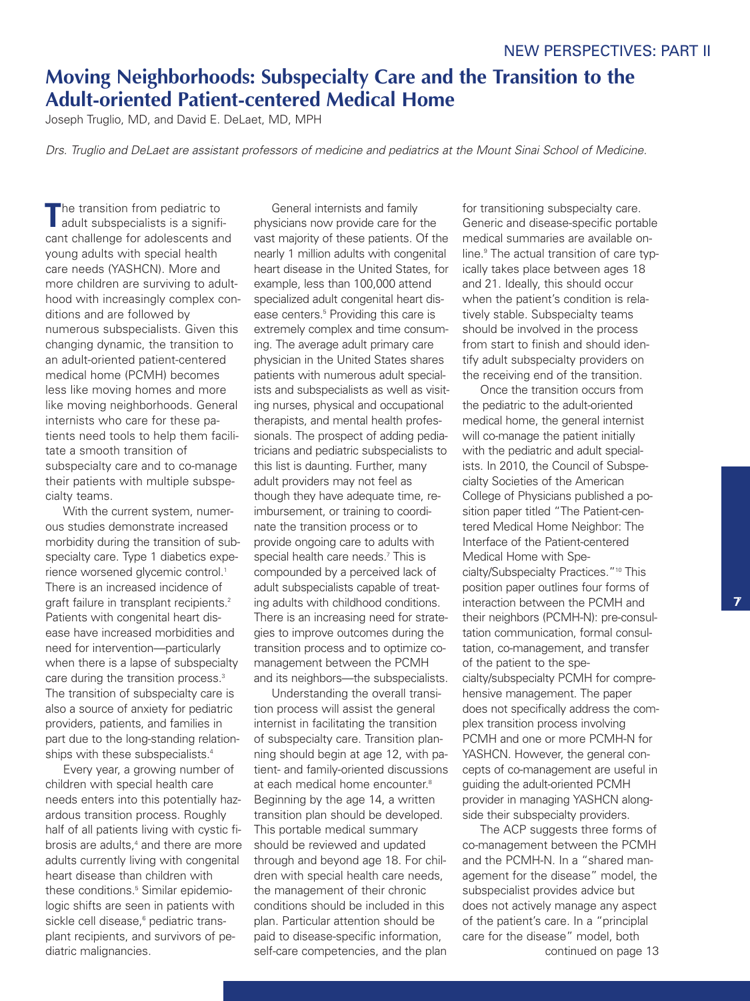# **Moving Neighborhoods: Subspecialty Care and the Transition to the Adult-oriented Patient-centered Medical Home**

Joseph Truglio, MD, and David E. DeLaet, MD, MPH

Drs. Truglio and DeLaet are assistant professors of medicine and pediatrics at the Mount Sinai School of Medicine.

**T**he transition from pediatric to adult subspecialists is a significant challenge for adolescents and young adults with special health care needs (YASHCN). More and more children are surviving to adulthood with increasingly complex conditions and are followed by numerous subspecialists. Given this changing dynamic, the transition to an adult-oriented patient-centered medical home (PCMH) becomes less like moving homes and more like moving neighborhoods. General internists who care for these patients need tools to help them facilitate a smooth transition of subspecialty care and to co-manage their patients with multiple subspecialty teams.

With the current system, numerous studies demonstrate increased morbidity during the transition of subspecialty care. Type 1 diabetics experience worsened glycemic control. 1 There is an increased incidence of graft failure in transplant recipients. 2 Patients with congenital heart disease have increased morbidities and need for intervention—particularly when there is a lapse of subspecialty care during the transition process. 3 The transition of subspecialty care is also a source of anxiety for pediatric providers, patients, and families in part due to the long-standing relationships with these subspecialists. 4

Every year, a growing number of children with special health care needs enters into this potentially hazardous transition process. Roughly half of all patients living with cystic fibrosis are adults, <sup>4</sup> and there are more adults currently living with congenital heart disease than children with these conditions. <sup>5</sup> Similar epidemiologic shifts are seen in patients with sickle cell disease, <sup>6</sup> pediatric transplant recipients, and survivors of pediatric malignancies.

General internists and family physicians now provide care for the vast majority of these patients. Of the nearly 1 million adults with congenital heart disease in the United States, for example, less than 100,000 attend specialized adult congenital heart disease centers. <sup>5</sup> Providing this care is extremely complex and time consuming. The average adult primary care physician in the United States shares patients with numerous adult specialists and subspecialists as well as visiting nurses, physical and occupational therapists, and mental health professionals. The prospect of adding pediatricians and pediatric subspecialists to this list is daunting. Further, many adult providers may not feel as though they have adequate time, reimbursement, or training to coordinate the transition process or to provide ongoing care to adults with special health care needs. <sup>7</sup> This is compounded by a perceived lack of adult subspecialists capable of treating adults with childhood conditions. There is an increasing need for strategies to improve outcomes during the transition process and to optimize comanagement between the PCMH and its neighbors—the subspecialists.

Understanding the overall transition process will assist the general internist in facilitating the transition of subspecialty care. Transition planning should begin at age 12, with patient- and family-oriented discussions at each medical home encounter. 8 Beginning by the age 14, a written transition plan should be developed. This portable medical summary should be reviewed and updated through and beyond age 18. For children with special health care needs, the management of their chronic conditions should be included in this plan. Particular attention should be paid to disease-specific information, self-care competencies, and the plan

for transitioning subspecialty care. Generic and disease-specific portable medical summaries are available online. <sup>9</sup> The actual transition of care typically takes place between ages 18 and 21. Ideally, this should occur when the patient's condition is relatively stable. Subspecialty teams should be involved in the process from start to finish and should identify adult subspecialty providers on the receiving end of the transition.

Once the transition occurs from the pediatric to the adult-oriented medical home, the general internist will co-manage the patient initially with the pediatric and adult specialists. In 2010, the Council of Subspecialty Societies of the American College of Physicians published a position paper titled "The Patient-centered Medical Home Neighbor: The Interface of the Patient-centered Medical Home with Specialty/Subspecialty Practices."10 This position paper outlines four forms of interaction between the PCMH and their neighbors (PCMH-N): pre-consultation communication, formal consultation, co-management, and transfer of the patient to the specialty/subspecialty PCMH for comprehensive management. The paper does not specifically address the complex transition process involving PCMH and one or more PCMH-N for YASHCN. However, the general concepts of co-management are useful in guiding the adult-oriented PCMH provider in managing YASHCN alongside their subspecialty providers.

The ACP suggests three forms of co-management between the PCMH and the PCMH-N. In a "shared management for the disease" model, the subspecialist provides advice but does not actively manage any aspect of the patient's care. In a "principlal care for the disease" model, both continued on page 13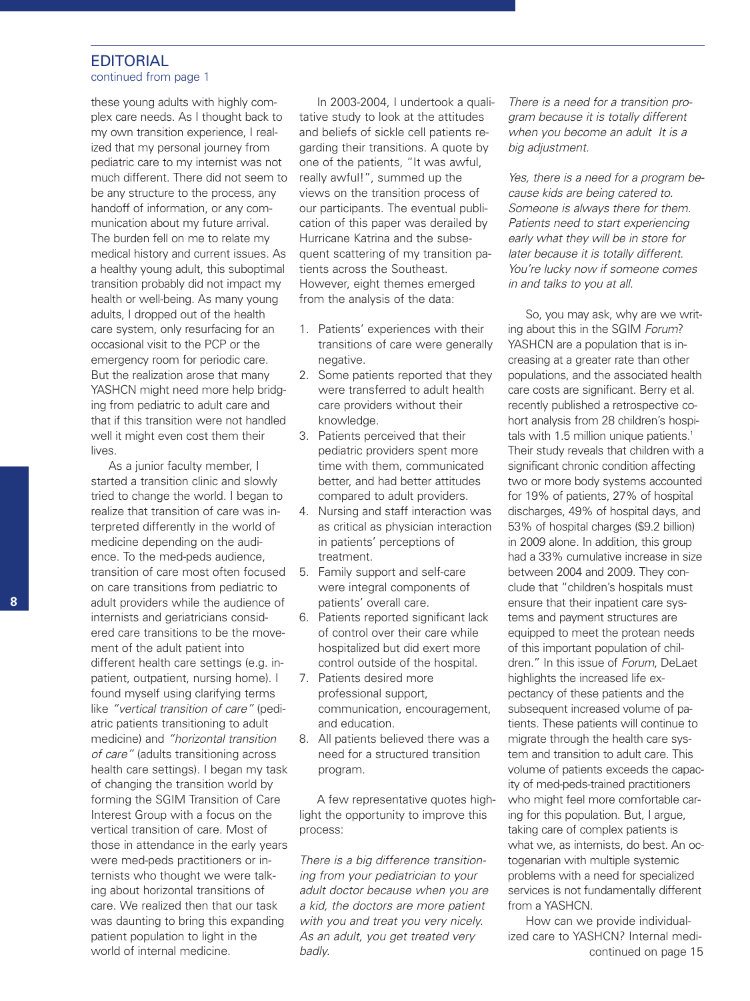# **EDITORIAL**

### continued from page 1

these young adults with highly complex care needs. As I thought back to my own transition experience, I realized that my personal journey from pediatric care to my internist was not much different. There did not seem to be any structure to the process, any handoff of information, or any communication about my future arrival. The burden fell on me to relate my medical history and current issues. As a healthy young adult, this suboptimal transition probably did not impact my health or well-being. As many young adults, I dropped out of the health care system, only resurfacing for an occasional visit to the PCP or the emergency room for periodic care. But the realization arose that many YASHCN might need more help bridging from pediatric to adult care and that if this transition were not handled well it might even cost them their lives.

As a junior faculty member, I started a transition clinic and slowly tried to change the world. I began to realize that transition of care was interpreted differently in the world of medicine depending on the audience. To the med-peds audience, transition of care most often focused on care transitions from pediatric to adult providers while the audience of internists and geriatricians considered care transitions to be the movement of the adult patient into different health care settings (e.g. inpatient, outpatient, nursing home). I found myself using clarifying terms like *"vertical transition of care"* (pediatric patients transitioning to adult medicine) and *"horizontal transition of care"* (adults transitioning across health care settings). I began my task of changing the transition world by forming the SGIM Transition of Care Interest Group with a focus on the vertical transition of care. Most of those in attendance in the early years were med-peds practitioners or internists who thought we were talking about horizontal transitions of care. We realized then that our task was daunting to bring this expanding patient population to light in the world of internal medicine.

In 2003-2004, I undertook a qualitative study to look at the attitudes and beliefs of sickle cell patients regarding their transitions. A quote by one of the patients, "It was awful, really awful!", summed up the views on the transition process of our participants. The eventual publication of this paper was derailed by Hurricane Katrina and the subsequent scattering of my transition patients across the Southeast. However, eight themes emerged from the analysis of the data:

- 1. Patients' experiences with their transitions of care were generally negative.
- 2. Some patients reported that they were transferred to adult health care providers without their knowledge.
- 3. Patients perceived that their pediatric providers spent more time with them, communicated better, and had better attitudes compared to adult providers.
- 4. Nursing and staff interaction was as critical as physician interaction in patients' perceptions of treatment.
- 5. Family support and self-care were integral components of patients' overall care.
- 6. Patients reported significant lack of control over their care while hospitalized but did exert more control outside of the hospital.
- 7. Patients desired more professional support, communication, encouragement, and education.
- 8. All patients believed there was a need for a structured transition program.

A few representative quotes highlight the opportunity to improve this process:

*There is a big difference transitioning from your pediatrician to your adult doctor because when you are a kid, the doctors are more patient with you and treat you very nicely. As an adult, you get treated very badly.*

*There is a need for a transition program because it is totally different when you become an adult It is a big adjustment.*

*Yes, there is a need for a program because kids are being catered to. Someone is always there for them. Patients need to start experiencing early what they will be in store for later because it is totally different. You're lucky now if someone comes in and talks to you at all.*

So, you may ask, why are we writing about this in the SGIM *Forum*? YASHCN are a population that is increasing at a greater rate than other populations, and the associated health care costs are significant. Berry et al. recently published a retrospective cohort analysis from 28 children's hospitals with 1.5 million unique patients. 1 Their study reveals that children with a significant chronic condition affecting two or more body systems accounted for 19% of patients, 27% of hospital discharges, 49% of hospital days, and 53% of hospital charges (\$9.2 billion) in 2009 alone. In addition, this group had a 33% cumulative increase in size between 2004 and 2009. They conclude that "children's hospitals must ensure that their inpatient care systems and payment structures are equipped to meet the protean needs of this important population of children." In this issue of *Forum*, DeLaet highlights the increased life expectancy of these patients and the subsequent increased volume of patients. These patients will continue to migrate through the health care system and transition to adult care. This volume of patients exceeds the capacity of med-peds-trained practitioners who might feel more comfortable caring for this population. But, I argue, taking care of complex patients is what we, as internists, do best. An octogenarian with multiple systemic problems with a need for specialized services is not fundamentally different from a YASHCN.

continued on page 15 How can we provide individualized care to YASHCN? Internal medi-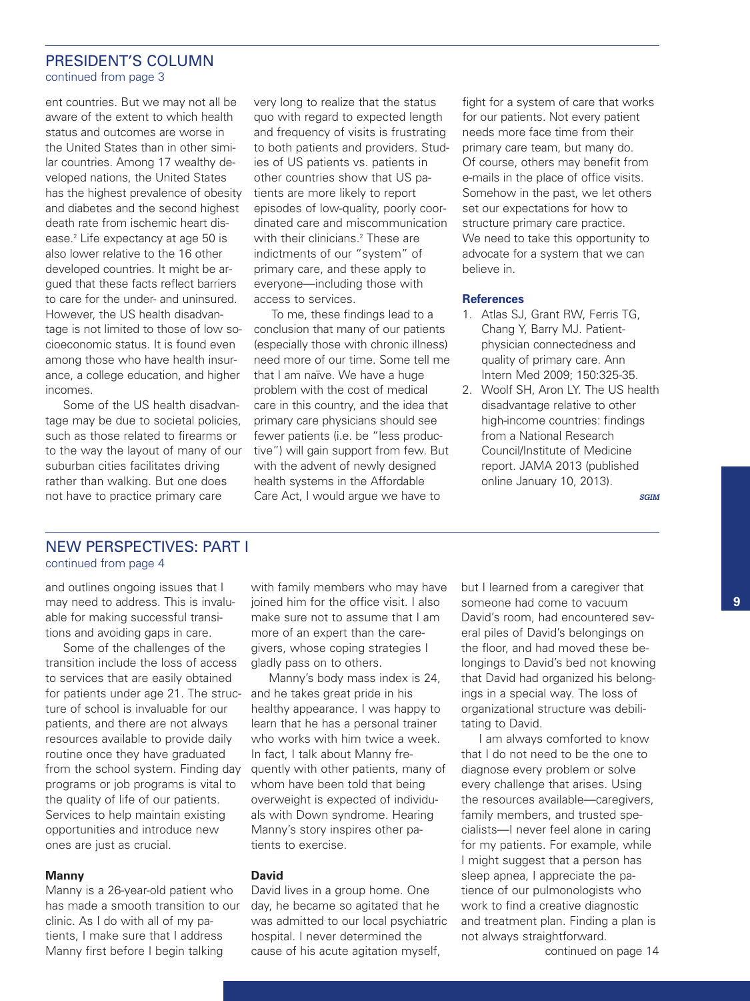#### PRESIDENT'S COLUMN continued from page 3

ent countries. But we may not all be aware of the extent to which health status and outcomes are worse in the United States than in other similar countries. Among 17 wealthy developed nations, the United States has the highest prevalence of obesity and diabetes and the second highest death rate from ischemic heart disease. <sup>2</sup> Life expectancy at age 50 is also lower relative to the 16 other developed countries. It might be argued that these facts reflect barriers to care for the under- and uninsured. However, the US health disadvantage is not limited to those of low socioeconomic status. It is found even among those who have health insurance, a college education, and higher incomes.

Some of the US health disadvantage may be due to societal policies, such as those related to firearms or to the way the layout of many of our suburban cities facilitates driving rather than walking. But one does not have to practice primary care

very long to realize that the status quo with regard to expected length and frequency of visits is frustrating to both patients and providers. Studies of US patients vs. patients in other countries show that US patients are more likely to report episodes of low-quality, poorly coordinated care and miscommunication with their clinicians. <sup>2</sup> These are indictments of our "system" of primary care, and these apply to everyone—including those with access to services.

To me, these findings lead to a conclusion that many of our patients (especially those with chronic illness) need more of our time. Some tell me that I am naïve. We have a huge problem with the cost of medical care in this country, and the idea that primary care physicians should see fewer patients (i.e. be "less productive") will gain support from few. But with the advent of newly designed health systems in the Affordable Care Act, I would argue we have to

fight for a system of care that works for our patients. Not every patient needs more face time from their primary care team, but many do. Of course, others may benefit from e-mails in the place of office visits. Somehow in the past, we let others set our expectations for how to structure primary care practice. We need to take this opportunity to advocate for a system that we can believe in.

#### **References**

- 1. Atlas SJ, Grant RW, Ferris TG, Chang Y, Barry MJ. Patientphysician connectedness and quality of primary care. Ann Intern Med 2009; 150:325-35.
- 2. Woolf SH, Aron LY. The US health disadvantage relative to other high-income countries: findings from a National Research Council/Institute of Medicine report. JAMA 2013 (published online January 10, 2013).

*SGIM*

# NEW PERSPECTIVES: PART I continued from page 4

and outlines ongoing issues that I may need to address. This is invaluable for making successful transitions and avoiding gaps in care.

Some of the challenges of the transition include the loss of access to services that are easily obtained for patients under age 21. The structure of school is invaluable for our patients, and there are not always resources available to provide daily routine once they have graduated from the school system. Finding day programs or job programs is vital to the quality of life of our patients. Services to help maintain existing opportunities and introduce new ones are just as crucial.

#### **Manny**

Manny is a 26-year-old patient who has made a smooth transition to our clinic. As I do with all of my patients, I make sure that I address Manny first before I begin talking

with family members who may have joined him for the office visit. I also make sure not to assume that I am more of an expert than the caregivers, whose coping strategies I gladly pass on to others.

Manny's body mass index is 24, and he takes great pride in his healthy appearance. I was happy to learn that he has a personal trainer who works with him twice a week. In fact, I talk about Manny frequently with other patients, many of whom have been told that being overweight is expected of individuals with Down syndrome. Hearing Manny's story inspires other patients to exercise.

### **David**

David lives in a group home. One day, he became so agitated that he was admitted to our local psychiatric hospital. I never determined the cause of his acute agitation myself,

but I learned from a caregiver that someone had come to vacuum David's room, had encountered several piles of David's belongings on the floor, and had moved these belongings to David's bed not knowing that David had organized his belongings in a special way. The loss of organizational structure was debilitating to David.

I am always comforted to know that I do not need to be the one to diagnose every problem or solve every challenge that arises. Using the resources available—caregivers, family members, and trusted specialists—I never feel alone in caring for my patients. For example, while I might suggest that a person has sleep apnea, I appreciate the patience of our pulmonologists who work to find a creative diagnostic and treatment plan. Finding a plan is not always straightforward.

continued on page 14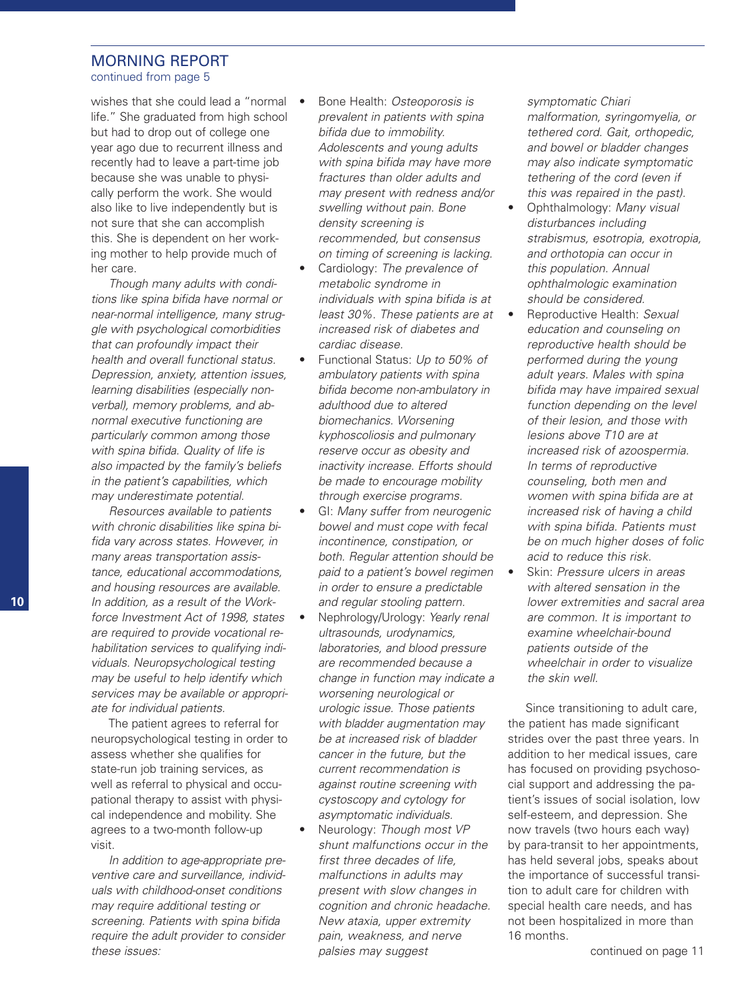#### MORNING REPORT continued from page 5

wishes that she could lead a "normal  $\bullet$ life." She graduated from high school but had to drop out of college one year ago due to recurrent illness and recently had to leave a part-time job because she was unable to physically perform the work. She would also like to live independently but is not sure that she can accomplish this. She is dependent on her working mother to help provide much of her care.

*Though many adults with conditions like spina bifida have normal or near-normal intelligence, many struggle with psychological comorbidities that can profoundly impact their health and overall functional status. Depression, anxiety, attention issues, learning disabilities (especially nonverbal), memory problems, and abnormal executive functioning are particularly common among those with spina bifida. Quality of life is also impacted by the family's beliefs in the patient's capabilities, which may underestimate potential.*

*Resources available to patients with chronic disabilities like spina bifida vary across states. However, in many areas transportation assistance, educational accommodations, and housing resources are available. In addition, as a result of the Workforce Investment Act of 1998, states are required to provide vocational rehabilitation services to qualifying individuals. Neuropsychological testing may be useful to help identify which services may be available or appropriate for individual patients.*

The patient agrees to referral for neuropsychological testing in order to assess whether she qualifies for state-run job training services, as well as referral to physical and occupational therapy to assist with physical independence and mobility. She agrees to a two-month follow-up visit.

*In addition to age-appropriate preventive care and surveillance, individuals with childhood-onset conditions may require additional testing or screening. Patients with spina bifida require the adult provider to consider these issues:*

- Bone Health: *Osteoporosis is prevalent in patients with spina bifida due to immobility. Adolescents and young adults with spina bifida may have more fractures than older adults and may present with redness and/or swelling without pain. Bone density screening is recommended, but consensus on timing of screening is lacking.*
- Cardiology: *The prevalence of metabolic syndrome in individuals with spina bifida is at least 30%. These patients are at increased risk of diabetes and cardiac disease.*
- Functional Status: *Up to 50% of ambulatory patients with spina bifida become non-ambulatory in adulthood due to altered biomechanics. Worsening kyphoscoliosis and pulmonary reserve occur as obesity and inactivity increase. Efforts should be made to encourage mobility through exercise programs.*
- GI: *Many suffer from neurogenic bowel and must cope with fecal incontinence, constipation, or both. Regular attention should be paid to a patient's bowel regimen in order to ensure a predictable and regular stooling pattern.*
- Nephrology/Urology: *Yearly renal ultrasounds, urodynamics, laboratories, and blood pressure are recommended because a change in function may indicate a worsening neurological or urologic issue. Those patients with bladder augmentation may be at increased risk of bladder cancer in the future, but the current recommendation is against routine screening with cystoscopy and cytology for asymptomatic individuals.*
- Neurology: *Though most VP shunt malfunctions occur in the first three decades of life, malfunctions in adults may present with slow changes in cognition and chronic headache. New ataxia, upper extremity pain, weakness, and nerve palsies may suggest*

*symptomatic Chiari malformation, syringomyelia, or tethered cord. Gait, orthopedic, and bowel or bladder changes may also indicate symptomatic tethering of the cord (even if this was repaired in the past).*

- Ophthalmology: *Many visual disturbances including strabismus, esotropia, exotropia, and orthotopia can occur in this population. Annual ophthalmologic examination should be considered.*
- Reproductive Health: *Sexual education and counseling on reproductive health should be performed during the young adult years. Males with spina bifida may have impaired sexual function depending on the level of their lesion, and those with lesions above T10 are at increased risk of azoospermia. In terms of reproductive counseling, both men and women with spina bifida are at increased risk of having a child with spina bifida. Patients must be on much higher doses of folic acid to reduce this risk.*
- Skin: *Pressure ulcers in areas with altered sensation in the lower extremities and sacral area are common. It is important to examine wheelchair-bound patients outside of the wheelchair in order to visualize the skin well.*

Since transitioning to adult care, the patient has made significant strides over the past three years. In addition to her medical issues, care has focused on providing psychosocial support and addressing the patient's issues of social isolation, low self-esteem, and depression. She now travels (two hours each way) by para-transit to her appointments, has held several jobs, speaks about the importance of successful transition to adult care for children with special health care needs, and has not been hospitalized in more than 16 months.

**10**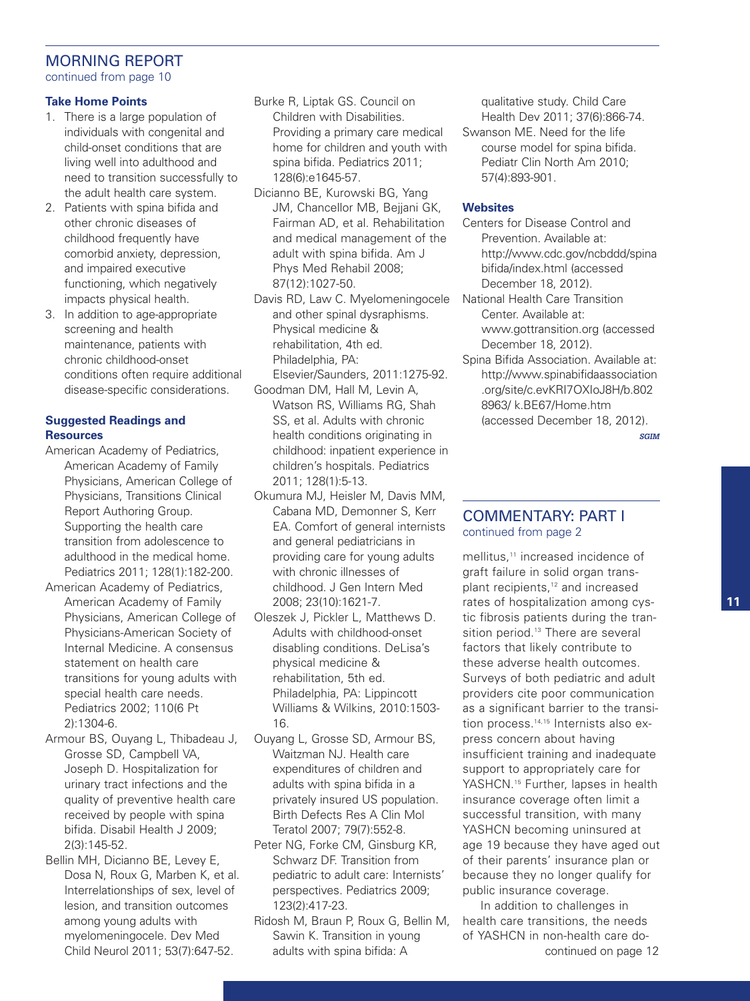# MORNING REPORT continued from page 10

#### **Take Home Points**

- 1. There is a large population of individuals with congenital and child-onset conditions that are living well into adulthood and need to transition successfully to the adult health care system.
- 2. Patients with spina bifida and other chronic diseases of childhood frequently have comorbid anxiety, depression, and impaired executive functioning, which negatively impacts physical health.
- 3. In addition to age-appropriate screening and health maintenance, patients with chronic childhood-onset conditions often require additional disease-specific considerations.

### **Suggested Readings and Resources**

- American Academy of Pediatrics, American Academy of Family Physicians, American College of Physicians, Transitions Clinical Report Authoring Group. Supporting the health care transition from adolescence to adulthood in the medical home. Pediatrics 2011; 128(1):182-200.
- American Academy of Pediatrics, American Academy of Family Physicians, American College of Physicians-American Society of Internal Medicine. A consensus statement on health care transitions for young adults with special health care needs. Pediatrics 2002; 110(6 Pt 2):1304-6.
- Armour BS, Ouyang L, Thibadeau J, Grosse SD, Campbell VA, Joseph D. Hospitalization for urinary tract infections and the quality of preventive health care received by people with spina bifida. Disabil Health J 2009; 2(3):145-52.
- Bellin MH, Dicianno BE, Levey E, Dosa N, Roux G, Marben K, et al. Interrelationships of sex, level of lesion, and transition outcomes among young adults with myelomeningocele. Dev Med Child Neurol 2011; 53(7):647-52.
- Burke R, Liptak GS. Council on Children with Disabilities. Providing a primary care medical home for children and youth with spina bifida. Pediatrics 2011; 128(6):e1645-57.
- Dicianno BE, Kurowski BG, Yang JM, Chancellor MB, Bejjani GK, Fairman AD, et al. Rehabilitation and medical management of the adult with spina bifida. Am J Phys Med Rehabil 2008; 87(12):1027-50.
- Davis RD, Law C. Myelomeningocele and other spinal dysraphisms. Physical medicine & rehabilitation, 4th ed. Philadelphia, PA:
- Elsevier/Saunders, 2011:1275-92. Goodman DM, Hall M, Levin A, Watson RS, Williams RG, Shah SS, et al. Adults with chronic health conditions originating in childhood: inpatient experience in children's hospitals. Pediatrics 2011; 128(1):5-13.
- Okumura MJ, Heisler M, Davis MM, Cabana MD, Demonner S, Kerr EA. Comfort of general internists and general pediatricians in providing care for young adults with chronic illnesses of childhood. J Gen Intern Med 2008; 23(10):1621-7.
- Oleszek J, Pickler L, Matthews D. Adults with childhood-onset disabling conditions. DeLisa's physical medicine & rehabilitation, 5th ed. Philadelphia, PA: Lippincott Williams & Wilkins, 2010:1503- 16.
- Ouyang L, Grosse SD, Armour BS, Waitzman NJ. Health care expenditures of children and adults with spina bifida in a privately insured US population. Birth Defects Res A Clin Mol Teratol 2007; 79(7):552-8.
- Peter NG, Forke CM, Ginsburg KR, Schwarz DF. Transition from pediatric to adult care: Internists' perspectives. Pediatrics 2009; 123(2):417-23.
- Ridosh M, Braun P, Roux G, Bellin M, Sawin K. Transition in young adults with spina bifida: A

qualitative study. Child Care Health Dev 2011; 37(6):866-74. Swanson ME. Need for the life course model for spina bifida. Pediatr Clin North Am 2010; 57(4):893-901.

### **Websites**

- Centers for Disease Control and Prevention. Available at: http://www.cdc.gov/ncbddd/spina bifida/index.html (accessed December 18, 2012).
- National Health Care Transition Center. Available at: www.gottransition.org (accessed December 18, 2012).
- Spina Bifida Association. Available at: http://www.spinabifidaassociation .org/site/c.evKRI7OXIoJ8H/b.802 8963/ k.BE67/Home.htm (accessed December 18, 2012).

*SGIM*

# COMMENTARY: PART I continued from page 2

mellitus, <sup>11</sup> increased incidence of graft failure in solid organ transplant recipients, <sup>12</sup> and increased rates of hospitalization among cystic fibrosis patients during the transition period.<sup>13</sup> There are several factors that likely contribute to these adverse health outcomes. Surveys of both pediatric and adult providers cite poor communication as a significant barrier to the transition process. 14,15 Internists also express concern about having insufficient training and inadequate support to appropriately care for YASHCN.<sup>15</sup> Further, lapses in health insurance coverage often limit a successful transition, with many YASHCN becoming uninsured at age 19 because they have aged out of their parents' insurance plan or because they no longer qualify for public insurance coverage.

In addition to challenges in health care transitions, the needs of YASHCN in non-health care docontinued on page 12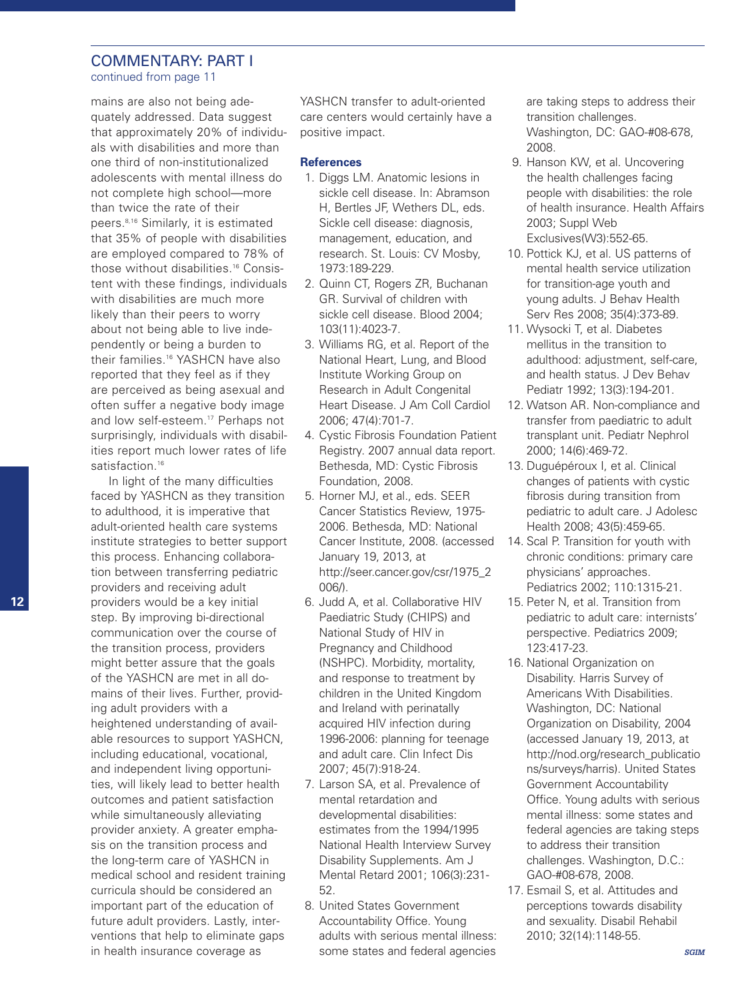# COMMENTARY: PART I

continued from page 11

mains are also not being adequately addressed. Data suggest that approximately 20% of individuals with disabilities and more than one third of non-institutionalized adolescents with mental illness do not complete high school—more than twice the rate of their peers. 8,16 Similarly, it is estimated that 35% of people with disabilities are employed compared to 78% of those without disabilities. <sup>16</sup> Consistent with these findings, individuals with disabilities are much more likely than their peers to worry about not being able to live independently or being a burden to their families. <sup>16</sup> YASHCN have also reported that they feel as if they are perceived as being asexual and often suffer a negative body image and low self-esteem. <sup>17</sup> Perhaps not surprisingly, individuals with disabilities report much lower rates of life satisfaction. 16

In light of the many difficulties faced by YASHCN as they transition to adulthood, it is imperative that adult-oriented health care systems institute strategies to better support this process. Enhancing collaboration between transferring pediatric providers and receiving adult providers would be a key initial step. By improving bi-directional communication over the course of the transition process, providers might better assure that the goals of the YASHCN are met in all domains of their lives. Further, providing adult providers with a heightened understanding of available resources to support YASHCN, including educational, vocational, and independent living opportunities, will likely lead to better health outcomes and patient satisfaction while simultaneously alleviating provider anxiety. A greater emphasis on the transition process and the long-term care of YASHCN in medical school and resident training curricula should be considered an important part of the education of future adult providers. Lastly, interventions that help to eliminate gaps in health insurance coverage as

YASHCN transfer to adult-oriented care centers would certainly have a positive impact.

#### **References**

- 1. Diggs LM. Anatomic lesions in sickle cell disease. In: Abramson H, Bertles JF, Wethers DL, eds. Sickle cell disease: diagnosis, management, education, and research. St. Louis: CV Mosby, 1973:189-229.
- 2. Quinn CT, Rogers ZR, Buchanan GR. Survival of children with sickle cell disease. Blood 2004; 103(11):4023-7.
- 3. Williams RG, et al. Report of the National Heart, Lung, and Blood Institute Working Group on Research in Adult Congenital Heart Disease. J Am Coll Cardiol 2006; 47(4):701-7.
- 4. Cystic Fibrosis Foundation Patient Registry. 2007 annual data report. Bethesda, MD: Cystic Fibrosis Foundation, 2008.
- 5. Horner MJ, et al., eds. SEER Cancer Statistics Review, 1975- 2006. Bethesda, MD: National Cancer Institute, 2008. (accessed January 19, 2013, at http://seer.cancer.gov/csr/1975\_2 006/).
- 6. Judd A, et al. Collaborative HIV Paediatric Study (CHIPS) and National Study of HIV in Pregnancy and Childhood (NSHPC). Morbidity, mortality, and response to treatment by children in the United Kingdom and Ireland with perinatally acquired HIV infection during 1996-2006: planning for teenage and adult care. Clin Infect Dis 2007; 45(7):918-24.
- 7. Larson SA, et al. Prevalence of mental retardation and developmental disabilities: estimates from the 1994/1995 National Health Interview Survey Disability Supplements. Am J Mental Retard 2001; 106(3):231- 52.
- 8. United States Government Accountability Office. Young adults with serious mental illness: some states and federal agencies

are taking steps to address their transition challenges. Washington, DC: GAO-#08-678, 2008.

- 9. Hanson KW, et al. Uncovering the health challenges facing people with disabilities: the role of health insurance. Health Affairs 2003; Suppl Web Exclusives(W3):552-65.
- 10. Pottick KJ, et al. US patterns of mental health service utilization for transition-age youth and young adults. J Behav Health Serv Res 2008; 35(4):373-89.
- 11. Wysocki T, et al. Diabetes mellitus in the transition to adulthood: adjustment, self-care, and health status. J Dev Behav Pediatr 1992; 13(3):194-201.
- 12. Watson AR. Non-compliance and transfer from paediatric to adult transplant unit. Pediatr Nephrol 2000; 14(6):469-72.
- 13. Duguépéroux I, et al. Clinical changes of patients with cystic fibrosis during transition from pediatric to adult care. J Adolesc Health 2008; 43(5):459-65.
- 14. Scal P. Transition for youth with chronic conditions: primary care physicians' approaches. Pediatrics 2002; 110:1315-21.
- 15. Peter N, et al. Transition from pediatric to adult care: internists' perspective. Pediatrics 2009; 123:417-23.
- 16. National Organization on Disability. Harris Survey of Americans With Disabilities. Washington, DC: National Organization on Disability, 2004 (accessed January 19, 2013, at http://nod.org/research\_publicatio ns/surveys/harris). United States Government Accountability Office. Young adults with serious mental illness: some states and federal agencies are taking steps to address their transition challenges. Washington, D.C.: GAO-#08-678, 2008.
- 17. Esmail S, et al. Attitudes and perceptions towards disability and sexuality. Disabil Rehabil 2010; 32(14):1148-55.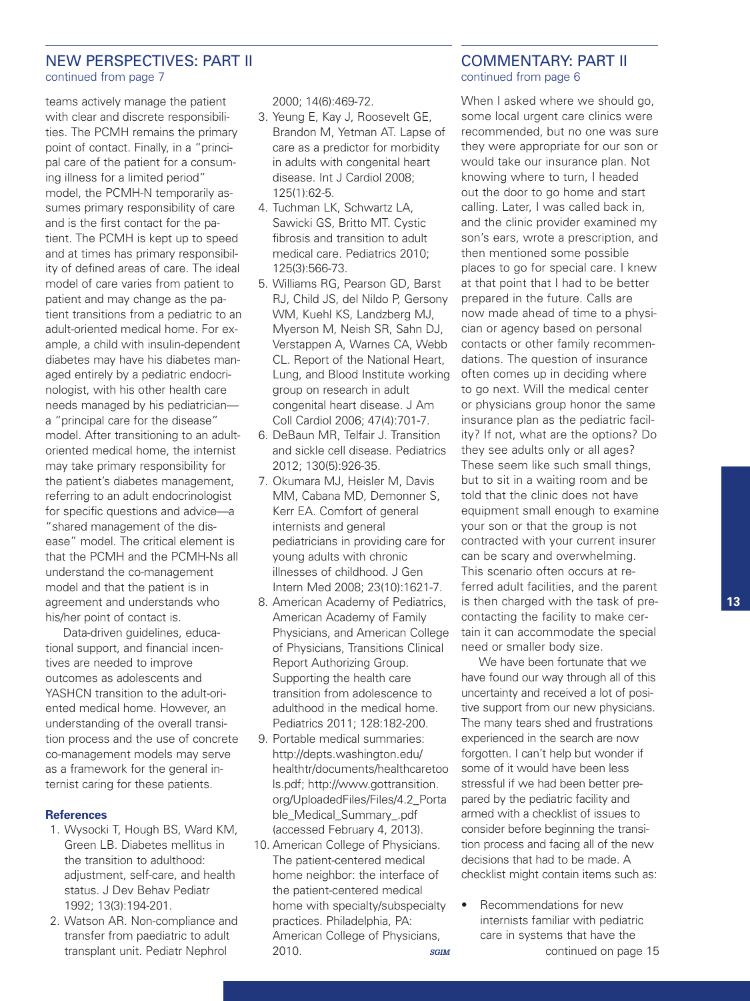### NEW PERSPECTIVES: PART II continued from page 7

teams actively manage the patient with clear and discrete responsibilities. The PCMH remains the primary point of contact. Finally, in a "principal care of the patient for a consuming illness for a limited period" model, the PCMH-N temporarily assumes primary responsibility of care and is the first contact for the patient. The PCMH is kept up to speed and at times has primary responsibility of defined areas of care. The ideal model of care varies from patient to patient and may change as the patient transitions from a pediatric to an adult-oriented medical home. For example, a child with insulin-dependent diabetes may have his diabetes managed entirely by a pediatric endocrinologist, with his other health care needs managed by his pediatrician a "principal care for the disease" model. After transitioning to an adultoriented medical home, the internist may take primary responsibility for the patient's diabetes management, referring to an adult endocrinologist for specific questions and advice—a "shared management of the disease" model. The critical element is that the PCMH and the PCMH-Ns all understand the co-management model and that the patient is in agreement and understands who his/her point of contact is.

Data-driven guidelines, educational support, and financial incentives are needed to improve outcomes as adolescents and YASHCN transition to the adult-oriented medical home. However, an understanding of the overall transition process and the use of concrete co-management models may serve as a framework for the general internist caring for these patients.

#### **References**

- 1. Wysocki T, Hough BS, Ward KM, Green LB. Diabetes mellitus in the transition to adulthood: adjustment, self-care, and health status. J Dev Behav Pediatr 1992; 13(3):194-201.
- 2. Watson AR. Non-compliance and transfer from paediatric to adult transplant unit. Pediatr Nephrol

2000; 14(6):469-72.

- 3. Yeung E, Kay J, Roosevelt GE, Brandon M, Yetman AT. Lapse of care as a predictor for morbidity in adults with congenital heart disease. Int J Cardiol 2008; 125(1):62-5.
- 4. Tuchman LK, Schwartz LA, Sawicki GS, Britto MT. Cystic fibrosis and transition to adult medical care. Pediatrics 2010; 125(3):566-73.
- 5. Williams RG, Pearson GD, Barst RJ, Child JS, del Nildo P, Gersony WM, Kuehl KS, Landzberg MJ, Myerson M, Neish SR, Sahn DJ, Verstappen A, Warnes CA, Webb CL. Report of the National Heart, Lung, and Blood Institute working group on research in adult congenital heart disease. J Am Coll Cardiol 2006; 47(4):701-7.
- 6. DeBaun MR, Telfair J. Transition and sickle cell disease. Pediatrics 2012; 130(5):926-35.
- 7. Okumara MJ, Heisler M, Davis MM, Cabana MD, Demonner S, Kerr EA. Comfort of general internists and general pediatricians in providing care for young adults with chronic illnesses of childhood. J Gen Intern Med 2008; 23(10):1621-7.
- 8. American Academy of Pediatrics, American Academy of Family Physicians, and American College of Physicians, Transitions Clinical Report Authorizing Group. Supporting the health care transition from adolescence to adulthood in the medical home. Pediatrics 2011; 128:182-200.
- 9. Portable medical summaries: http://depts.washington.edu/ healthtr/documents/healthcaretoo ls.pdf; http://www.gottransition. org/UploadedFiles/Files/4.2\_Porta ble\_Medical\_Summary\_.pdf (accessed February 4, 2013).
- 10. American College of Physicians. The patient-centered medical home neighbor: the interface of the patient-centered medical home with specialty/subspecialty practices. Philadelphia, PA: American College of Physicians, 2010. *SGIM*

### COMMENTARY: PART II continued from page 6

When I asked where we should go, some local urgent care clinics were recommended, but no one was sure they were appropriate for our son or would take our insurance plan. Not knowing where to turn, I headed out the door to go home and start calling. Later, I was called back in, and the clinic provider examined my son's ears, wrote a prescription, and then mentioned some possible places to go for special care. I knew at that point that I had to be better prepared in the future. Calls are now made ahead of time to a physician or agency based on personal contacts or other family recommendations. The question of insurance often comes up in deciding where to go next. Will the medical center or physicians group honor the same insurance plan as the pediatric facility? If not, what are the options? Do they see adults only or all ages? These seem like such small things, but to sit in a waiting room and be told that the clinic does not have equipment small enough to examine your son or that the group is not contracted with your current insurer can be scary and overwhelming. This scenario often occurs at referred adult facilities, and the parent is then charged with the task of precontacting the facility to make certain it can accommodate the special need or smaller body size.

We have been fortunate that we have found our way through all of this uncertainty and received a lot of positive support from our new physicians. The many tears shed and frustrations experienced in the search are now forgotten. I can't help but wonder if some of it would have been less stressful if we had been better prepared by the pediatric facility and armed with a checklist of issues to consider before beginning the transition process and facing all of the new decisions that had to be made. A checklist might contain items such as:

• Recommendations for new internists familiar with pediatric care in systems that have the continued on page 15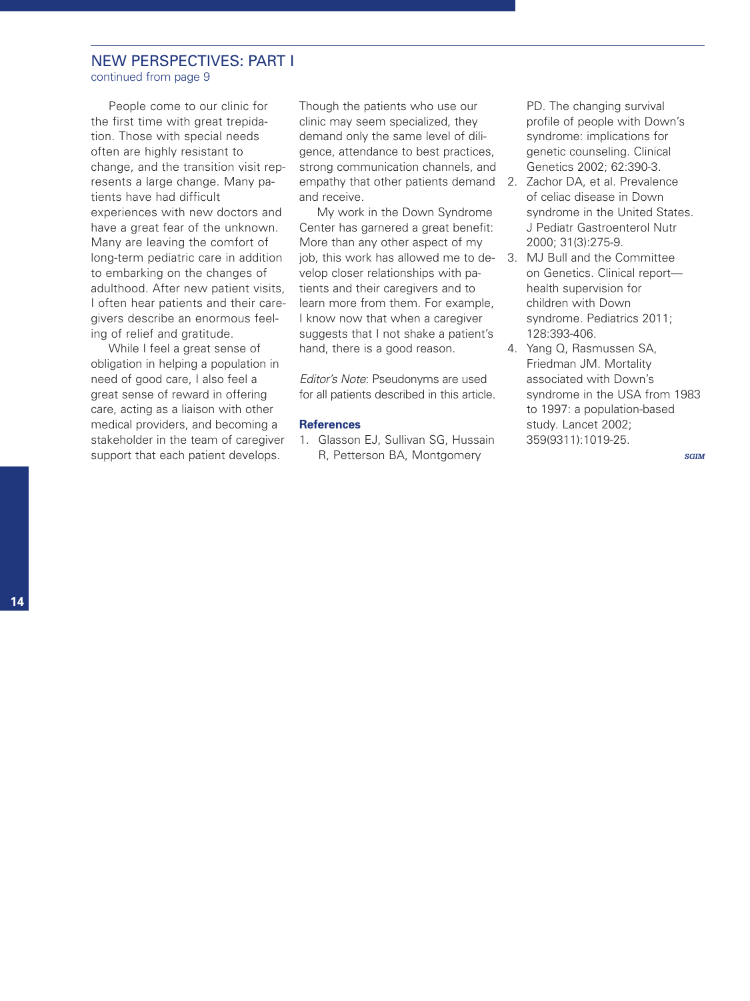# NEW PERSPECTIVES: PART I

continued from page 9

People come to our clinic for the first time with great trepidation. Those with special needs often are highly resistant to change, and the transition visit represents a large change. Many patients have had difficult experiences with new doctors and have a great fear of the unknown. Many are leaving the comfort of long-term pediatric care in addition to embarking on the changes of adulthood. After new patient visits, I often hear patients and their caregivers describe an enormous feeling of relief and gratitude.

While I feel a great sense of obligation in helping a population in need of good care, I also feel a great sense of reward in offering care, acting as a liaison with other medical providers, and becoming a stakeholder in the team of caregiver support that each patient develops.

Though the patients who use our clinic may seem specialized, they demand only the same level of diligence, attendance to best practices, strong communication channels, and empathy that other patients demand 2. Zachor DA, et al. Prevalence and receive.

My work in the Down Syndrome Center has garnered a great benefit: More than any other aspect of my job, this work has allowed me to de-3. MJ Bull and the Committee velop closer relationships with patients and their caregivers and to learn more from them. For example, I know now that when a caregiver suggests that I not shake a patient's hand, there is a good reason.

*Editor's Note*: Pseudonyms are used for all patients described in this article.

#### **References**

1. Glasson EJ, Sullivan SG, Hussain R, Petterson BA, Montgomery

PD. The changing survival profile of people with Down's syndrome: implications for genetic counseling. Clinical Genetics 2002; 62:390-3.

- of celiac disease in Down syndrome in the United States. J Pediatr Gastroenterol Nutr 2000; 31(3):275-9.
- on Genetics. Clinical report health supervision for children with Down syndrome. Pediatrics 2011; 128:393-406.
- 4. Yang Q, Rasmussen SA, Friedman JM. Mortality associated with Down's syndrome in the USA from 1983 to 1997: a population-based study. Lancet 2002; 359(9311):1019-25.

*SGIM*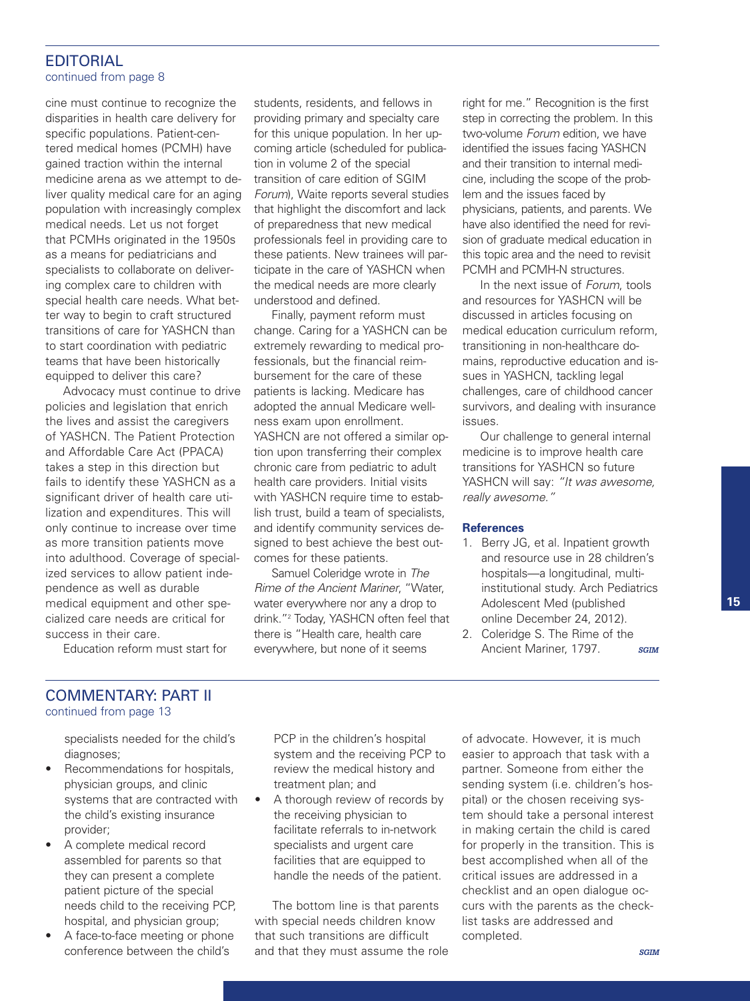### EDITORIAL continued from page 8

cine must continue to recognize the disparities in health care delivery for specific populations. Patient-centered medical homes (PCMH) have gained traction within the internal medicine arena as we attempt to deliver quality medical care for an aging population with increasingly complex medical needs. Let us not forget that PCMHs originated in the 1950s as a means for pediatricians and specialists to collaborate on delivering complex care to children with special health care needs. What better way to begin to craft structured transitions of care for YASHCN than to start coordination with pediatric teams that have been historically equipped to deliver this care?

Advocacy must continue to drive policies and legislation that enrich the lives and assist the caregivers of YASHCN. The Patient Protection and Affordable Care Act (PPACA) takes a step in this direction but fails to identify these YASHCN as a significant driver of health care utilization and expenditures. This will only continue to increase over time as more transition patients move into adulthood. Coverage of specialized services to allow patient independence as well as durable medical equipment and other specialized care needs are critical for success in their care.

students, residents, and fellows in providing primary and specialty care for this unique population. In her upcoming article (scheduled for publication in volume 2 of the special transition of care edition of SGIM *Forum*), Waite reports several studies that highlight the discomfort and lack of preparedness that new medical professionals feel in providing care to these patients. New trainees will participate in the care of YASHCN when the medical needs are more clearly understood and defined.

Finally, payment reform must change. Caring for a YASHCN can be extremely rewarding to medical professionals, but the financial reimbursement for the care of these patients is lacking. Medicare has adopted the annual Medicare wellness exam upon enrollment. YASHCN are not offered a similar option upon transferring their complex chronic care from pediatric to adult health care providers. Initial visits with YASHCN require time to establish trust, build a team of specialists, and identify community services designed to best achieve the best outcomes for these patients.

Samuel Coleridge wrote in *The Rime of the Ancient Mariner*, "Water, water everywhere nor any a drop to drink."2 Today, YASHCN often feel that there is "Health care, health care everywhere, but none of it seems

right for me." Recognition is the first step in correcting the problem. In this two-volume *Forum* edition, we have identified the issues facing YASHCN and their transition to internal medicine, including the scope of the problem and the issues faced by physicians, patients, and parents. We have also identified the need for revision of graduate medical education in this topic area and the need to revisit PCMH and PCMH-N structures.

In the next issue of *Forum*, tools and resources for YASHCN will be discussed in articles focusing on medical education curriculum reform, transitioning in non-healthcare domains, reproductive education and issues in YASHCN, tackling legal challenges, care of childhood cancer survivors, and dealing with insurance issues.

Our challenge to general internal medicine is to improve health care transitions for YASHCN so future YASHCN will say: *"It was awesome, really awesome."*

#### **References**

- 1. Berry JG, et al. Inpatient growth and resource use in 28 children's hospitals—a longitudinal, multiinstitutional study. Arch Pediatrics Adolescent Med (published online December 24, 2012).
- 2. Coleridge S. The Rime of the Ancient Mariner, 1797. *SGIM*

Education reform must start for

### COMMENTARY: PART II continued from page 13

specialists needed for the child's diagnoses;

- Recommendations for hospitals, physician groups, and clinic systems that are contracted with the child's existing insurance provider;
- A complete medical record assembled for parents so that they can present a complete patient picture of the special needs child to the receiving PCP, hospital, and physician group;
- A face-to-face meeting or phone conference between the child's

PCP in the children's hospital system and the receiving PCP to review the medical history and treatment plan; and

• A thorough review of records by the receiving physician to facilitate referrals to in-network specialists and urgent care facilities that are equipped to handle the needs of the patient.

The bottom line is that parents with special needs children know that such transitions are difficult and that they must assume the role of advocate. However, it is much easier to approach that task with a partner. Someone from either the sending system (i.e. children's hospital) or the chosen receiving system should take a personal interest in making certain the child is cared for properly in the transition. This is best accomplished when all of the critical issues are addressed in a checklist and an open dialogue occurs with the parents as the checklist tasks are addressed and completed.

#### *SGIM*